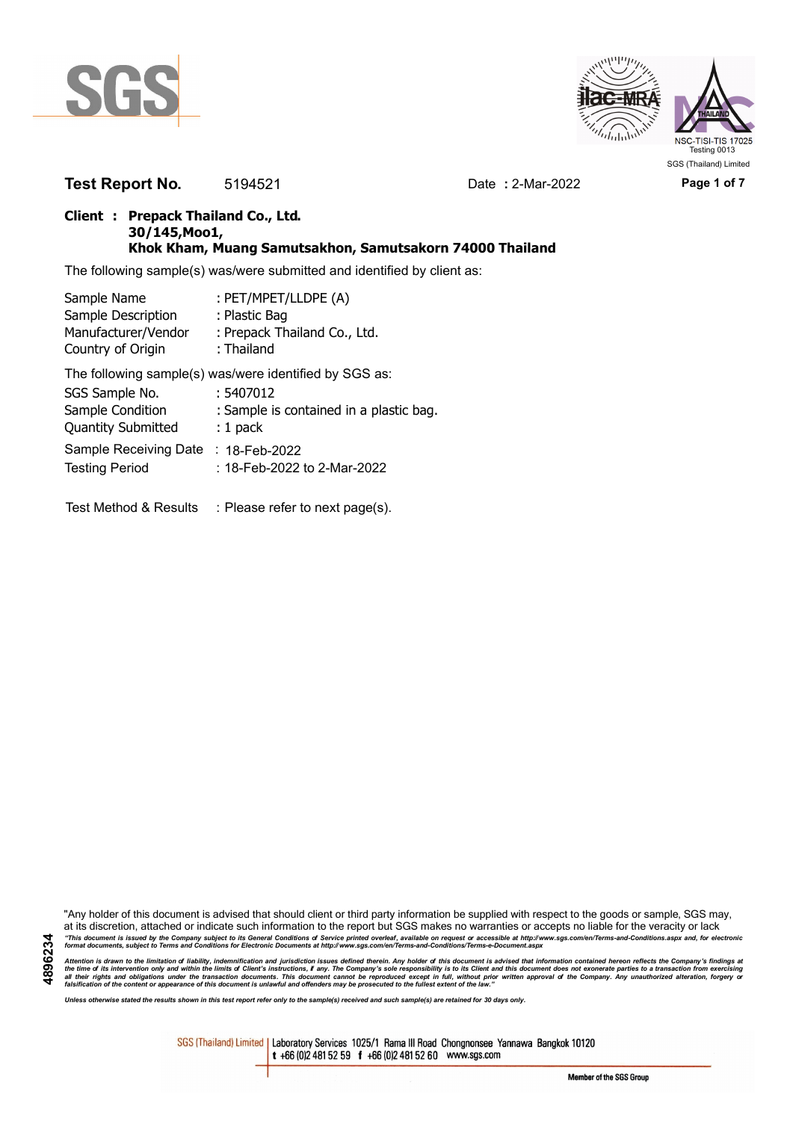

**4896234**



**Test Report No.** 5194521 Date **:** 2-Mar-2022 **Page 1 of 7**

### **Client : Prepack Thailand Co., Ltd. 30/145,Moo1, Khok Kham, Muang Samutsakhon, Samutsakorn 74000 Thailand**

The following sample(s) was/were submitted and identified by client as:

| Sample Name               | : PET/MPET/LLDPE (A)                                   |
|---------------------------|--------------------------------------------------------|
| Sample Description        | : Plastic Bag                                          |
| Manufacturer/Vendor       | : Prepack Thailand Co., Ltd.                           |
| Country of Origin         | : Thailand                                             |
|                           | The following sample(s) was/were identified by SGS as: |
| SGS Sample No.            | : 5407012                                              |
| Sample Condition          | : Sample is contained in a plastic bag.                |
| <b>Quantity Submitted</b> | $: 1$ pack                                             |
| Sample Receiving Date     | : $18$ -Feb-2022                                       |
| <b>Testing Period</b>     | : 18-Feb-2022 to 2-Mar-2022                            |

Test Method & Results : Please refer to next page(s).

"Any holder of this document is advised that should client or third party information be supplied with respect to the goods or sample, SGS may, at its discretion, attached or indicate such information to the report but SGS makes no warranties or accepts no liable for the veracity or lack "This document is issued by the Company subject to its General Conditions of Service printed overleaf, available on request or accessible at http://www.sgs.com/en/Terms-and-Conditions.aspx and, for electronic<br>format docume

Attention is drawn to the limitation of liability, indemnification and jurisdiction issues defined therein. Any holder of this document is advised that information contained hereon reflects the Company's findings at<br>all th

*Unless otherwise stated the results shown in this test report refer only to the sample(s) received and such sample(s) are retained for 30 days only.*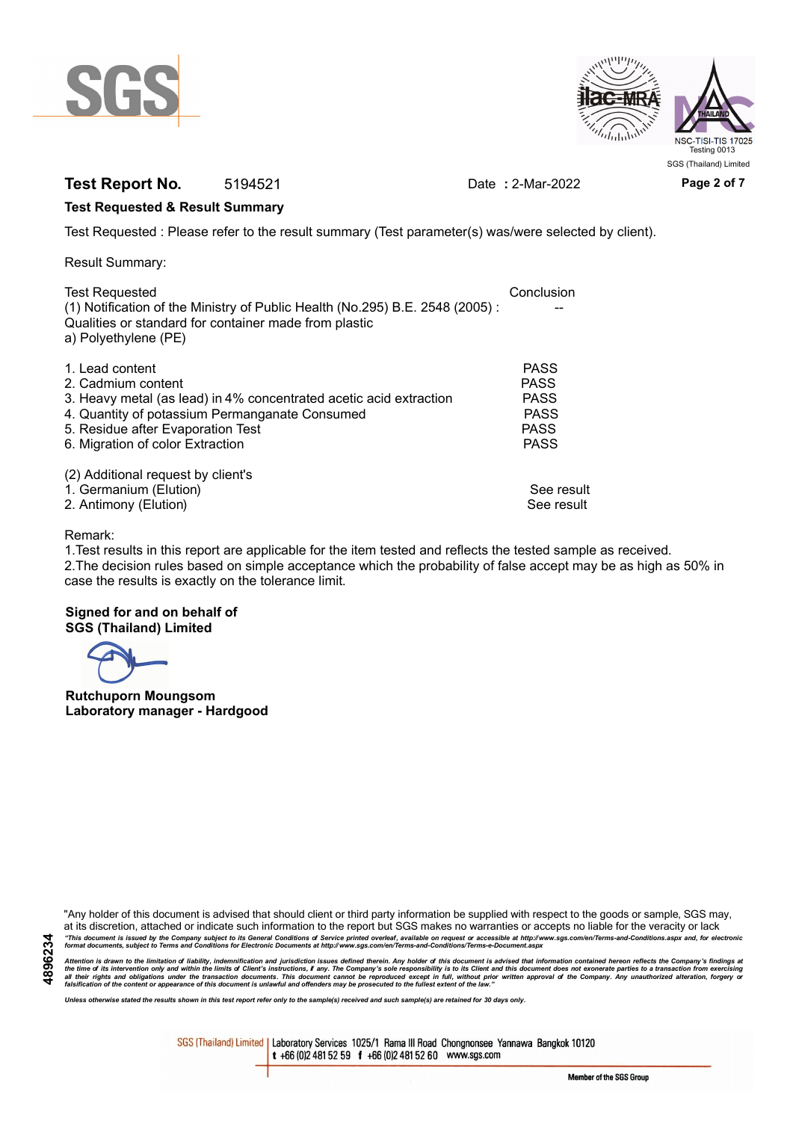



## **Test Report No.** 5194521 Date **:** 2-Mar-2022 **Page 2 of 7**

### **Test Requested & Result Summary**

Test Requested : Please refer to the result summary (Test parameter(s) was/were selected by client).

Result Summary:

| <b>Test Requested</b><br>(1) Notification of the Ministry of Public Health (No.295) B.E. 2548 (2005): | Conclusion  |
|-------------------------------------------------------------------------------------------------------|-------------|
| Qualities or standard for container made from plastic<br>a) Polyethylene (PE)                         |             |
| 1. Lead content                                                                                       | <b>PASS</b> |
| 2. Cadmium content                                                                                    | <b>PASS</b> |
| 3. Heavy metal (as lead) in 4% concentrated acetic acid extraction                                    | <b>PASS</b> |
| 4. Quantity of potassium Permanganate Consumed                                                        | <b>PASS</b> |
| 5. Residue after Evaporation Test                                                                     | <b>PASS</b> |
| 6. Migration of color Extraction                                                                      | <b>PASS</b> |
| (2) Additional request by client's                                                                    |             |
| 1. Germanium (Elution)                                                                                | See result  |
| 2. Antimony (Elution)                                                                                 | See result  |

#### Remark:

1.Test results in this report are applicable for the item tested and reflects the tested sample as received. 2.The decision rules based on simple acceptance which the probability of false accept may be as high as 50% in case the results is exactly on the tolerance limit.

#### **Signed for and on behalf of SGS (Thailand) Limited**

**Rutchuporn Moungsom Laboratory manager - Hardgood**

"Any holder of this document is advised that should client or third party information be supplied with respect to the goods or sample, SGS may, at its discretion, attached or indicate such information to the report but SGS makes no warranties or accepts no liable for the veracity or lack "This document is issued by the Company subject to its General Conditions of Service printed overleaf, available on request or accessible at http://www.sgs.com/en/Terms-and-Conditions.aspx and, for electronic<br>format docume

Attention is drawn to the limitation of liability, indemnification and jurisdiction issues defined therein. Any holder of this document is advised that information contained hereon reflects the Company's findings at<br>all th

*Unless otherwise stated the results shown in this test report refer only to the sample(s) received and such sample(s) are retained for 30 days only.*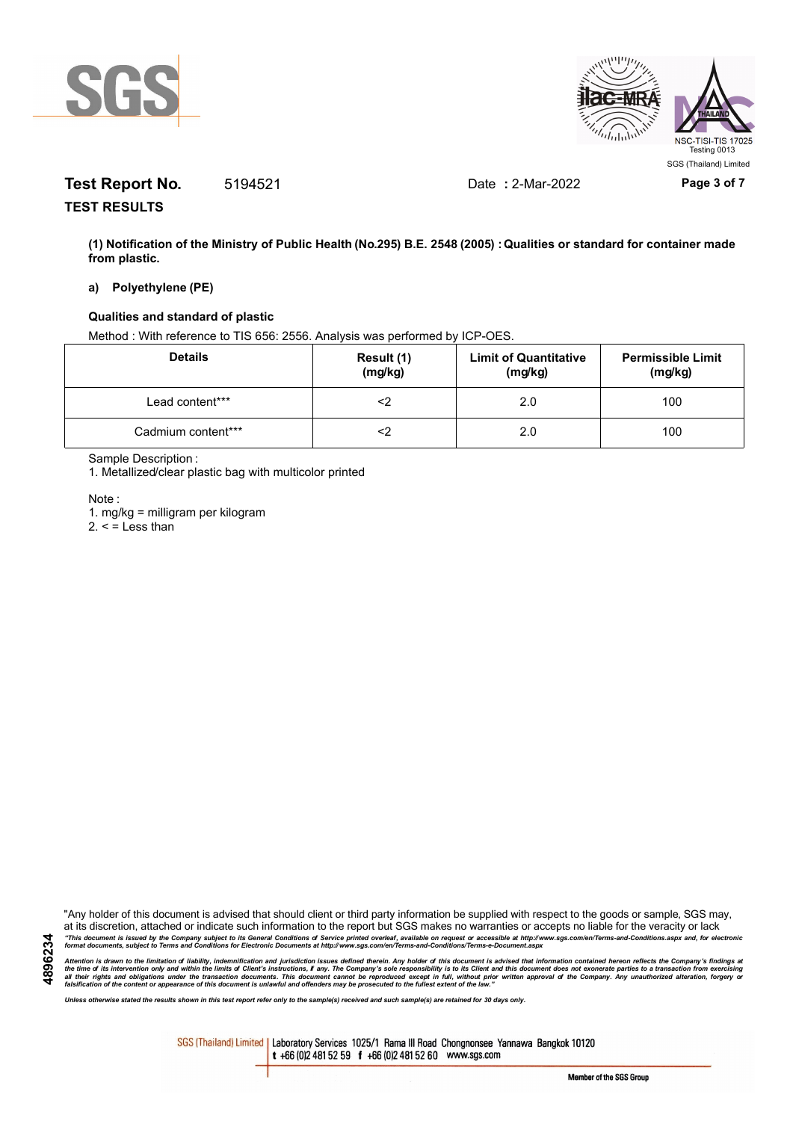



# **Test Report No.** 5194521 Date **:** 2-Mar-2022 **Page 3 of 7**

**TEST RESULTS**

**(1) Notification of the Ministry of Public Health (No.295) B.E. 2548 (2005) : Qualities or standard for container made from plastic.**

### **a) Polyethylene (PE)**

#### **Qualities and standard of plastic**

Method : With reference to TIS 656: 2556. Analysis was performed by ICP-OES.

| <b>Details</b>     | Result (1)<br>(mg/kg) | <b>Limit of Quantitative</b><br>(mg/kg) | <b>Permissible Limit</b><br>(mg/kg) |
|--------------------|-----------------------|-----------------------------------------|-------------------------------------|
| Lead content***    | ≤>                    | 2.0                                     | 100                                 |
| Cadmium content*** | ∠>                    | 2.0                                     | 100                                 |

Sample Description :

1. Metallized/clear plastic bag with multicolor printed

Note :

**4896234**

1. mg/kg = milligram per kilogram

 $2. <$  = Less than

"Any holder of this document is advised that should client or third party information be supplied with respect to the goods or sample, SGS may, at its discretion, attached or indicate such information to the report but SGS makes no warranties or accepts no liable for the veracity or lack "This document is issued by the Company subject to its General Conditions of Service printed overleaf, available on request or accessible at http://www.sgs.com/en/Terms-and-Conditions.aspx and, for electronic<br>format docume

Attention is drawn to the limitation of liability, indemnification and jurisdiction issues defined therein. Any holder of this document is advised that information contained hereon reflects the Company's findings at<br>all th

*Unless otherwise stated the results shown in this test report refer only to the sample(s) received and such sample(s) are retained for 30 days only.*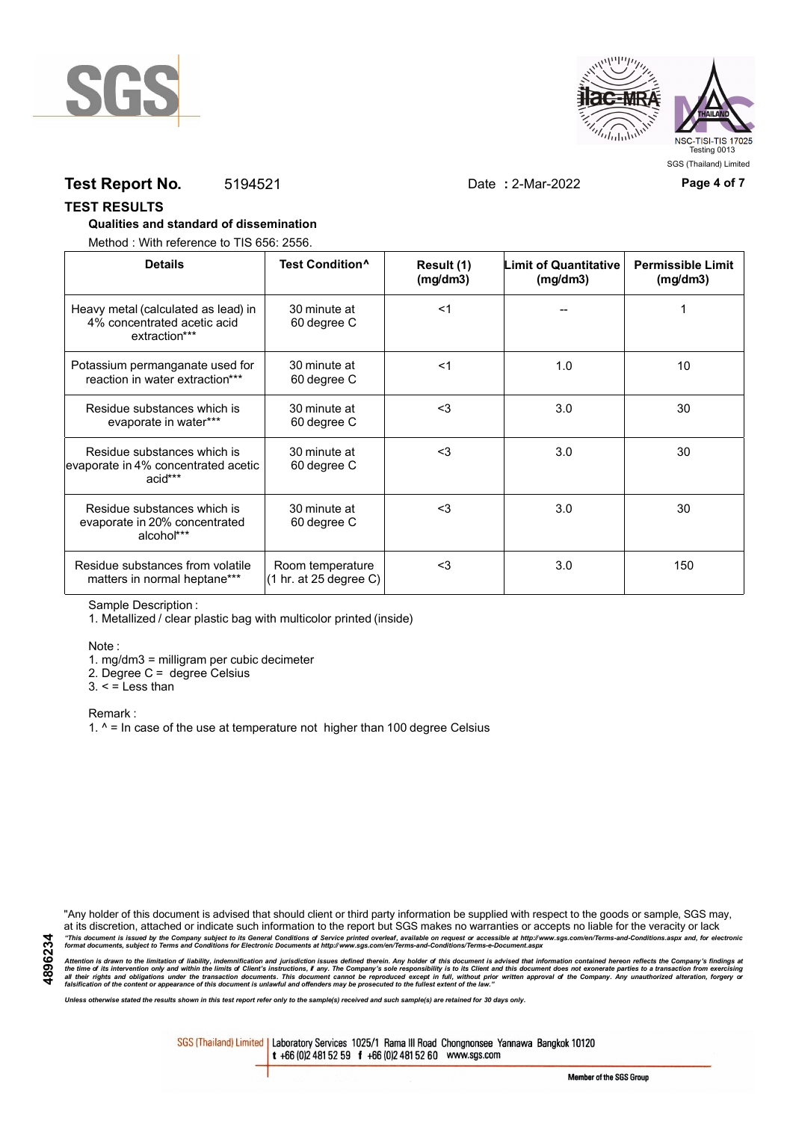



## **Test Report No.** 5194521 Date **:** 2-Mar-2022 **Page 4 of 7**

#### **TEST RESULTS**

#### **Qualities and standard of dissemination**

Method : With reference to TIS 656: 2556.

| <b>Details</b>                                                                      | Test Condition <sup>^</sup>                | Result (1)<br>(mq/dm3) | <b>Limit of Quantitative</b><br>(mg/dm3) | <b>Permissible Limit</b><br>(mg/dm3) |
|-------------------------------------------------------------------------------------|--------------------------------------------|------------------------|------------------------------------------|--------------------------------------|
| Heavy metal (calculated as lead) in<br>4% concentrated acetic acid<br>extraction*** | 30 minute at<br>60 degree C                | $<$ 1                  |                                          |                                      |
| Potassium permanganate used for<br>reaction in water extraction***                  | 30 minute at<br>60 degree C                | $<$ 1                  | 1.0                                      | 10                                   |
| Residue substances which is<br>evaporate in water***                                | 30 minute at<br>60 degree C                | $3$                    | 3.0                                      | 30                                   |
| Residue substances which is<br>evaporate in 4% concentrated acetic<br>acid***       | 30 minute at<br>60 degree C                | <3                     | 3.0                                      | 30                                   |
| Residue substances which is<br>evaporate in 20% concentrated<br>alcohol***          | 30 minute at<br>60 degree C                | $<$ 3                  | 3.0                                      | 30                                   |
| Residue substances from volatile<br>matters in normal heptane***                    | Room temperature<br>(1 hr. at 25 degree C) | $3$                    | 3.0                                      | 150                                  |

Sample Description :

1. Metallized / clear plastic bag with multicolor printed (inside)

Note :

1. mg/dm3 = milligram per cubic decimeter

2. Degree C = degree Celsius

 $3. <$  = Less than

Remark :

1.  $^{\circ}$  = In case of the use at temperature not higher than 100 degree Celsius

"Any holder of this document is advised that should client or third party information be supplied with respect to the goods or sample, SGS may, at its discretion, attached or indicate such information to the report but SGS makes no warranties or accepts no liable for the veracity or lack "This document is issued by the Company subject to its General Conditions of Service printed overleaf, available on request or accessible at http://www.sgs.com/en/Terms-and-Conditions.aspx and, for electronic<br>format docume

Attention is drawn to the limitation of liability, indemnification and jurisdiction issues defined therein. Any holder of this document is advised that information contained hereon reflects the Company's findings at<br>all th

*Unless otherwise stated the results shown in this test report refer only to the sample(s) received and such sample(s) are retained for 30 days only.*

SGS (Thailand) Limited | Laboratory Services 1025/1 Rama III Road Chongnonsee Yannawa Bangkok 10120 t +66 (0)2 481 52 59 f +66 (0)2 481 52 60 www.sgs.com

Member of the SGS Group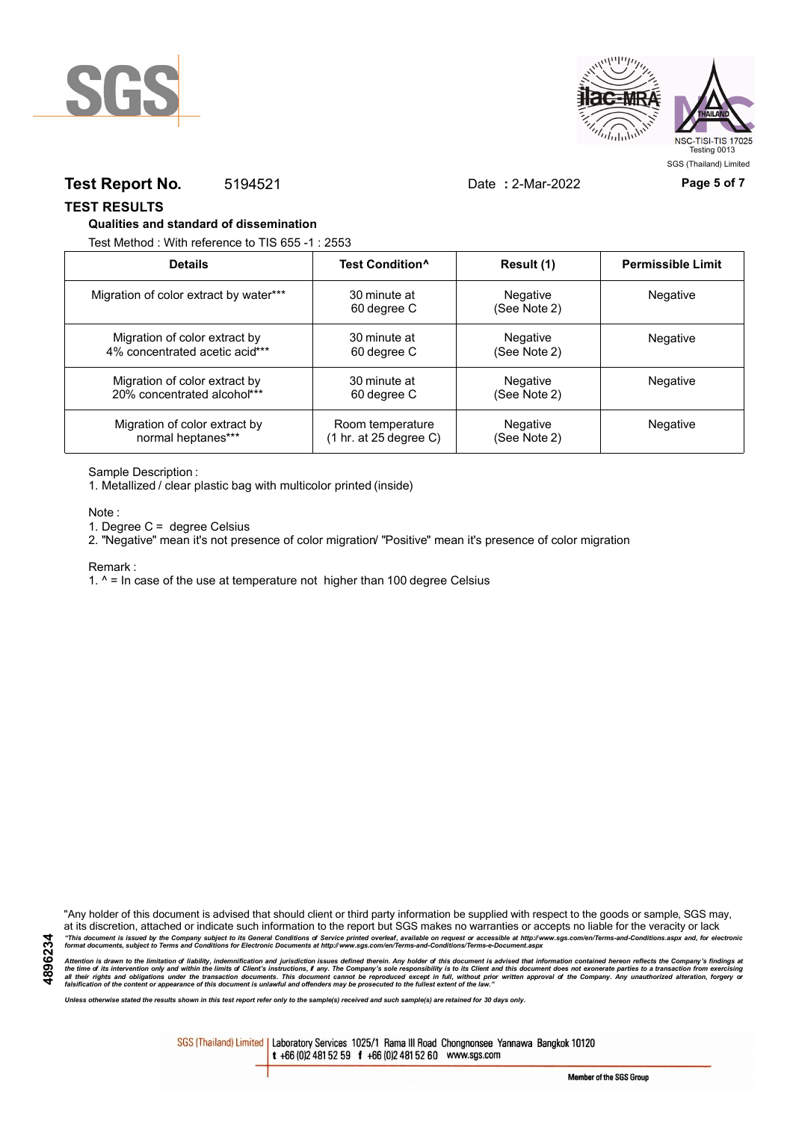



### **Test Report No.** 5194521 Date **:** 2-Mar-2022 **Page 5 of 7**

**TEST RESULTS**

#### **Qualities and standard of dissemination**

Test Method : With reference to TIS 655 -1 : 2553

| <b>Details</b>                         | Test Condition <sup>^</sup> | Result (1)               | <b>Permissible Limit</b> |
|----------------------------------------|-----------------------------|--------------------------|--------------------------|
| Migration of color extract by water*** | 30 minute at<br>60 degree C | Negative<br>(See Note 2) | Negative                 |
| Migration of color extract by          | 30 minute at                | Negative                 | Negative                 |
| 4% concentrated acetic acid***         | 60 degree C                 | (See Note 2)             |                          |
| Migration of color extract by          | 30 minute at                | Negative                 | Negative                 |
| 20% concentrated alcohol***            | 60 degree C                 | (See Note 2)             |                          |
| Migration of color extract by          | Room temperature            | Negative                 | Negative                 |
| normal heptanes***                     | (1 hr. at 25 degree C)      | (See Note 2)             |                          |

Sample Description :

1. Metallized / clear plastic bag with multicolor printed (inside)

Note :

1. Degree C = degree Celsius

2. "Negative" mean it's not presence of color migration/ "Positive" mean it's presence of color migration

#### Remark :

1.  $^{\circ}$  = In case of the use at temperature not higher than 100 degree Celsius

"Any holder of this document is advised that should client or third party information be supplied with respect to the goods or sample, SGS may, at its discretion, attached or indicate such information to the report but SGS makes no warranties or accepts no liable for the veracity or lack "This document is issued by the Company subject to its General Conditions of Service printed overleaf, available on request or accessible at http://www.sgs.com/en/Terms-and-Conditions.aspx and, for electronic<br>format docume

Attention is drawn to the limitation of liability, indemnification and jurisdiction issues defined therein. Any holder of this document is advised that information contained hereon reflects the Company's findings at<br>all th

*Unless otherwise stated the results shown in this test report refer only to the sample(s) received and such sample(s) are retained for 30 days only.*

SGS (Thailand) Limited | Laboratory Services 1025/1 Rama III Road Chongnonsee Yannawa Bangkok 10120 t +66 (0)2 481 52 59 f +66 (0)2 481 52 60 www.sgs.com

**4896234**

Member of the SGS Group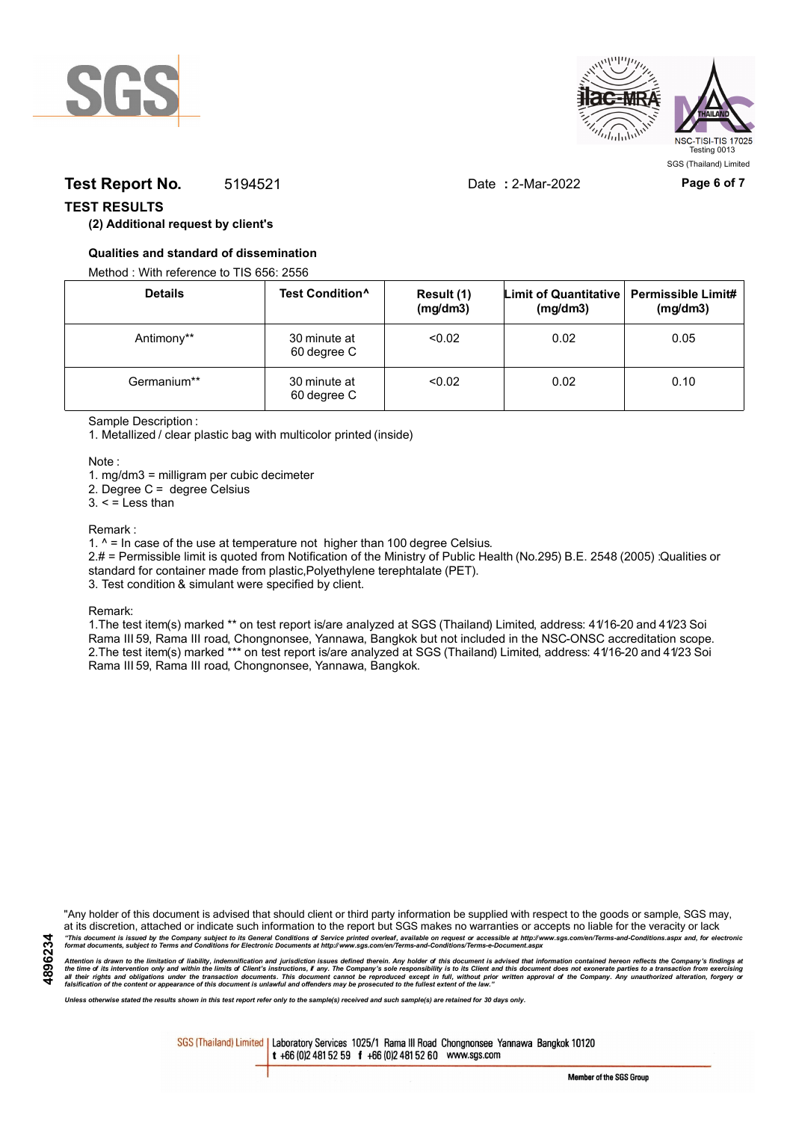



## **Test Report No.** 5194521 Date **:** 2-Mar-2022 **Page 6 of 7**

### **TEST RESULTS**

### **(2) Additional request by client's**

### **Qualities and standard of dissemination**

Method : With reference to TIS 656: 2556

| <b>Details</b> | Test Condition <sup>^</sup> | Result (1)<br>(mg/dm3) | Limit of Quantitative   Permissible Limit#<br>(mg/dm3) | (mg/dm3) |
|----------------|-----------------------------|------------------------|--------------------------------------------------------|----------|
| Antimony**     | 30 minute at<br>60 degree C | < 0.02                 | 0.02                                                   | 0.05     |
| Germanium**    | 30 minute at<br>60 degree C | < 0.02                 | 0.02                                                   | 0.10     |

Sample Description :

1. Metallized / clear plastic bag with multicolor printed (inside)

Note :

1. mg/dm3 = milligram per cubic decimeter

2. Degree C = degree Celsius

 $3. <$  = Less than

#### Remark :

1.  $^{\circ}$  = In case of the use at temperature not higher than 100 degree Celsius.

2.# = Permissible limit is quoted from Notification of the Ministry of Public Health (No.295) B.E. 2548 (2005) :Qualities or standard for container made from plastic,Polyethylene terephtalate (PET).

3. Test condition & simulant were specified by client.

Remark:

1.The test item(s) marked \*\* on test report is/are analyzed at SGS (Thailand) Limited, address: 41/16-20 and 41/23 Soi Rama III 59, Rama III road, Chongnonsee, Yannawa, Bangkok but not included in the NSC-ONSC accreditation scope. 2.The test item(s) marked \*\*\* on test report is/are analyzed at SGS (Thailand) Limited, address: 41/16-20 and 41/23 Soi Rama III 59, Rama III road, Chongnonsee, Yannawa, Bangkok.

**4896234**

"Any holder of this document is advised that should client or third party information be supplied with respect to the goods or sample, SGS may, at its discretion, attached or indicate such information to the report but SGS makes no warranties or accepts no liable for the veracity or lack "This document is issued by the Company subject to its General Conditions of Service printed overleaf, available on request or accessible at http://www.sgs.com/en/Terms-and-Conditions.aspx and, for electronic<br>format docume

Attention is drawn to the limitation of liability, indemnification and jurisdiction issues defined therein. Any holder of this document is advised that information contained hereon reflects the Company's findings at<br>all th

*Unless otherwise stated the results shown in this test report refer only to the sample(s) received and such sample(s) are retained for 30 days only.*